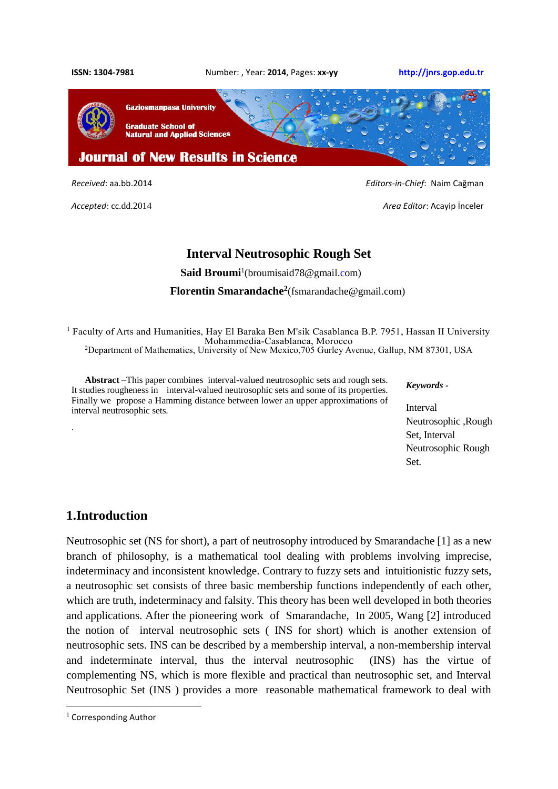

*Accepted*: cc.dd.2014 *Area Editor*: Acayip İnceler

*Received*: aa.bb.2014 *Editors-in-Chief*: Naim Cağman

# **Interval Neutrosophic Rough Set**

**Said Broumi**<sup>1</sup>[\(broumisaid78@gmail.co](mailto:broumisaid78@gmail.c)m)

#### **Florentin Smarandache<sup>2</sup>** [\(fsmarandache@gmail.com\)](mailto:fsmarandache@gmail.com)

<sup>1</sup> Faculty of Arts and Humanities, Hay El Baraka Ben M'sik Casablanca B.P. 7951, Hassan II University Mohammedia-Casablanca, Morocco <sup>2</sup>Department of Mathematics, University of New Mexico,705 Gurley Avenue, Gallup, NM 87301, USA

**Abstract** –This paper combines interval-valued neutrosophic sets and rough sets. It studies rougheness in interval-valued neutrosophic sets and some of its properties. Finally we propose a Hamming distance between lower an upper approximations of interval neutrosophic sets.

#### *Keywords -*

Interval Neutrosophic ,Rough Set, Interval Neutrosophic Rough Set.

# **1.Introduction**

.

Neutrosophic set (NS for short), a part of neutrosophy introduced by Smarandache [1] as a new branch of philosophy, is a mathematical tool dealing with problems involving imprecise, indeterminacy and inconsistent knowledge. Contrary to fuzzy sets and intuitionistic fuzzy sets, a neutrosophic set consists of three basic membership functions independently of each other, which are truth, indeterminacy and falsity. This theory has been well developed in both theories and applications. After the pioneering work of Smarandache, In 2005, Wang [2] introduced the notion of interval neutrosophic sets ( INS for short) which is another extension of neutrosophic sets. INS can be described by a membership interval, a non-membership interval and indeterminate interval, thus the interval neutrosophic (INS) has the virtue of complementing NS, which is more flexible and practical than neutrosophic set, and Interval Neutrosophic Set (INS ) provides a more reasonable mathematical framework to deal with

**.** 

<sup>1</sup> Corresponding Author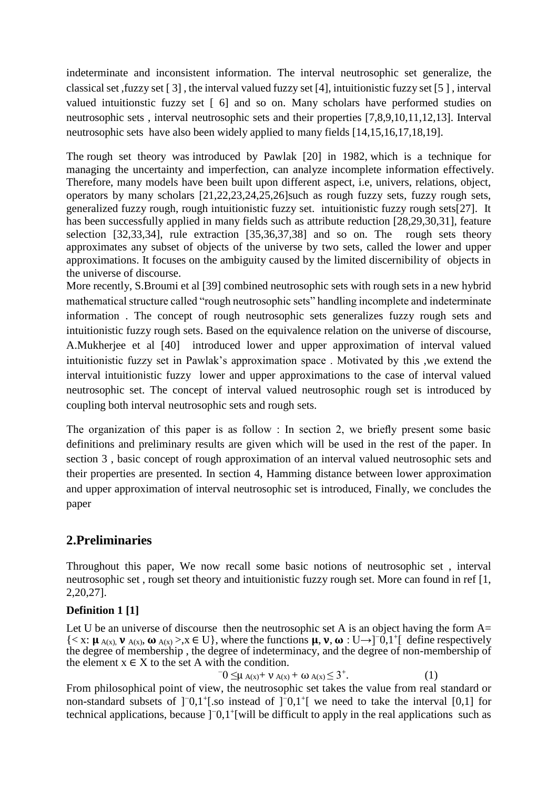indeterminate and inconsistent information. The interval neutrosophic set generalize, the classical set ,fuzzy set [ 3] , the interval valued fuzzy set [4], intuitionistic fuzzy set [5 ] , interval valued intuitionstic fuzzy set [ 6] and so on. Many scholars have performed studies on neutrosophic sets , interval neutrosophic sets and their properties [7,8,9,10,11,12,13]. Interval neutrosophic sets have also been widely applied to many fields [14,15,16,17,18,19].

The rough set theory was introduced by Pawlak [20] in 1982, which is a technique for managing the uncertainty and imperfection, can analyze incomplete information effectively. Therefore, many models have been built upon different aspect, i.e, univers, relations, object, operators by many scholars [21,22,23,24,25,26]such as rough fuzzy sets, fuzzy rough sets, generalized fuzzy rough, rough intuitionistic fuzzy set. intuitionistic fuzzy rough sets[27]. It has been successfully applied in many fields such as attribute reduction [28,29,30,31], feature selection [32,33,34], rule extraction [35,36,37,38] and so on. The rough sets theory approximates any subset of objects of the universe by two sets, called the lower and upper approximations. It focuses on the ambiguity caused by the limited discernibility of objects in the universe of discourse.

More recently, S.Broumi et al [39] combined neutrosophic sets with rough sets in a new hybrid mathematical structure called "rough neutrosophic sets" handling incomplete and indeterminate information . The concept of rough neutrosophic sets generalizes fuzzy rough sets and intuitionistic fuzzy rough sets. Based on the equivalence relation on the universe of discourse, A.Mukherjee et al [40] introduced lower and upper approximation of interval valued intuitionistic fuzzy set in Pawlak's approximation space . Motivated by this ,we extend the interval intuitionistic fuzzy lower and upper approximations to the case of interval valued neutrosophic set. The concept of interval valued neutrosophic rough set is introduced by coupling both interval neutrosophic sets and rough sets.

The organization of this paper is as follow : In section 2, we briefly present some basic definitions and preliminary results are given which will be used in the rest of the paper. In section 3 , basic concept of rough approximation of an interval valued neutrosophic sets and their properties are presented. In section 4, Hamming distance between lower approximation and upper approximation of interval neutrosophic set is introduced, Finally, we concludes the paper

# **2.Preliminaries**

Throughout this paper, We now recall some basic notions of neutrosophic set , interval neutrosophic set , rough set theory and intuitionistic fuzzy rough set. More can found in ref [1, 2,20,27].

# **Definition 1 [1]**

Let U be an universe of discourse then the neutrosophic set A is an object having the form  $A=$  ${ < x: \mu_{A(x),} \nu_{A(x),} \omega_{A(x) > x \in U}$ , where the functions  $\mu, \nu, \omega: U \rightarrow ]0,1^{\dagger}$  define respectively the degree of membership , the degree of indeterminacy, and the degree of non-membership of the element  $x \in X$  to the set A with the condition. −

 $-0 \leq \mu$  A(x) +  $\nu$  A(x) + ω A(x)  $\leq 3^{+}$ . . (1)

From philosophical point of view, the neutrosophic set takes the value from real standard or non-standard subsets of ]<sup>-</sup>0,1<sup>+</sup>[.so instead of ]<sup>-</sup>0,1<sup>+</sup>[ we need to take the interval [0,1] for technical applications, because  $]$ <sup>-</sup>0,1<sup>+</sup>[will be difficult to apply in the real applications such as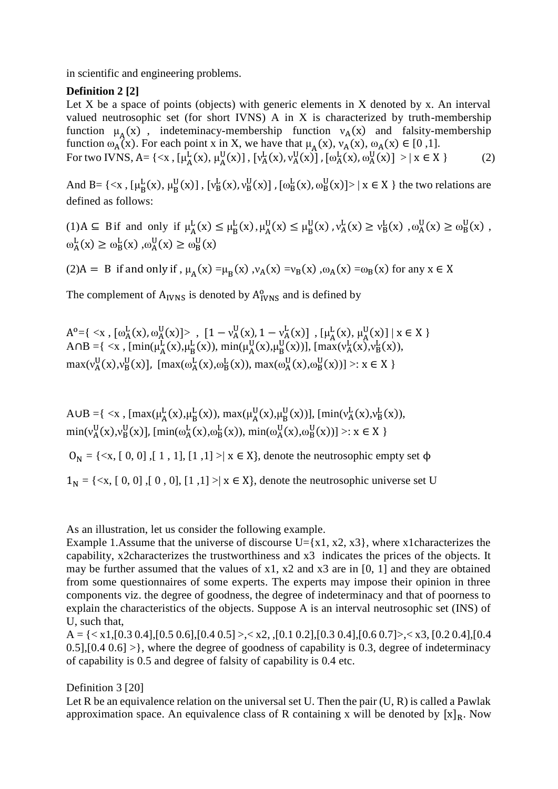in scientific and engineering problems.

## **Definition 2 [2]**

Let  $X$  be a space of points (objects) with generic elements in  $X$  denoted by  $x$ . An interval valued neutrosophic set (for short IVNS) A in X is characterized by truth-membership function  $\mu_A(x)$ , indeteminacy-membership function  $v_A(x)$  and falsity-membership function  $\omega_A(x)$ . For each point x in X, we have that  $\mu_A(x)$ ,  $\nu_A(x)$ ,  $\omega_A(x) \in [0,1]$ . For two IVNS, A= { $\langle x, [\mu_A^L(x), \mu_A^U(x)], [\nu_A^L(x), \nu_A^U(x)]$ ,  $[\omega_A^L(x), \omega_A^U(x)] > | x \in X$  } (2)

And B= { $\langle x, [\mu_B^L(x), \mu_B^U(x)]$ ,  $[v_B^L(x), v_B^U(x)]$ ,  $[\omega_B^L(x), \omega_B^U(x)] > | x \in X$ } the two relations are defined as follows:

 $(1)$  A  $\subseteq$  B if and only if  $\mu_A^L(x) \le \mu_B^L(x)$ ,  $\mu_A^U(x) \le \mu_B^U(x)$ ,  $\nu_A^L(x) \ge \nu_B^L(x)$ ,  $\omega_A^U(x) \ge \omega_B^U(x)$ ,  $\omega_A^L(x) \ge \omega_B^L(x)$ ,  $\omega_A^U(x) \ge \omega_B^U(x)$ 

(2)A = B if and only if,  $\mu_A(x) = \mu_B(x)$ ,  $\nu_A(x) = v_B(x)$ ,  $\omega_A(x) = \omega_B(x)$  for any  $x \in X$ 

The complement of  $A<sub>IVNS</sub>$  is denoted by  $A<sub>IVNS</sub><sup>o</sup>$  and is defined by

$$
A^{o} = \{ \langle x, [\omega_{A}^{L}(x), \omega_{A}^{U}(x)] \rangle, [1 - v_{A}^{U}(x), 1 - v_{A}^{L}(x)], [\mu_{A}^{L}(x), \mu_{A}^{U}(x)] \mid x \in X \} \text{ and } B = \{ \langle x, [\min(\mu_{A}^{L}(x), \mu_{B}^{L}(x)), \min(\mu_{A}^{U}(x), \mu_{B}^{U}(x))], [\max(v_{A}^{L}(x), v_{B}^{L}(x)), \max(v_{A}^{U}(x), v_{B}^{U}(x)], [\max(\omega_{A}^{L}(x), \omega_{B}^{L}(x)), \max(\omega_{A}^{U}(x), \omega_{B}^{U}(x))] \rangle : x \in X \}
$$

A∪B ={ <x, [max( $\mu_A^L(x), \mu_B^L(x)$ ), max( $\mu_A^U(x), \mu_B^U(x)$ )], [min( $v_A^L(x), v_B^L(x)$ ),  $\min(v_A^U(x), v_B^U(x)]$ ,  $[\min(\omega_A^L(x), \omega_B^L(x))$ ,  $\min(\omega_A^U(x), \omega_B^U(x))] >: x \in X$ 

 $O_N = \{ \langle x, [0, 0], [1, 1], [1, 1] \rangle \mid x \in X \}$ , denote the neutrosophic empty set  $\Phi$ 

 $1_N = \{ \langle x, [0, 0], [0, 0], [1, 1] \rangle \mid x \in X \}$ , denote the neutrosophic universe set U

As an illustration, let us consider the following example.

Example 1.Assume that the universe of discourse  $U = \{x1, x2, x3\}$ , where x1characterizes the capability, x2characterizes the trustworthiness and x3 indicates the prices of the objects. It may be further assumed that the values of  $x1$ ,  $x2$  and  $x3$  are in [0, 1] and they are obtained from some questionnaires of some experts. The experts may impose their opinion in three components viz. the degree of goodness, the degree of indeterminacy and that of poorness to explain the characteristics of the objects. Suppose A is an interval neutrosophic set (INS) of U, such that,

 $A = \{ \langle x1, [0.3 \, 0.4], [0.5 \, 0.6], [0.4 \, 0.5] \rangle, \langle x2, , [0.1 \, 0.2], [0.3 \, 0.4], [0.6 \, 0.7] \rangle, \langle x3, [0.2 \, 0.4], [0.4 \, 0.6], \langle x2, , [0.2 \, 0.4], [0.6 \, 0.7] \rangle, \langle x3, [0.2 \, 0.4], [0.4 \, 0.6], \langle x2, , [0.2 \, 0.4], [0.6 \, 0.7], \langle x3, , [0.2 \, 0.4], [0.$ 0.5],[0.4 0.6] >}, where the degree of goodness of capability is 0.3, degree of indeterminacy of capability is 0.5 and degree of falsity of capability is 0.4 etc.

Definition 3 [20]

Let R be an equivalence relation on the universal set U. Then the pair  $(U, R)$  is called a Pawlak approximation space. An equivalence class of R containing x will be denoted by  $[x]_R$ . Now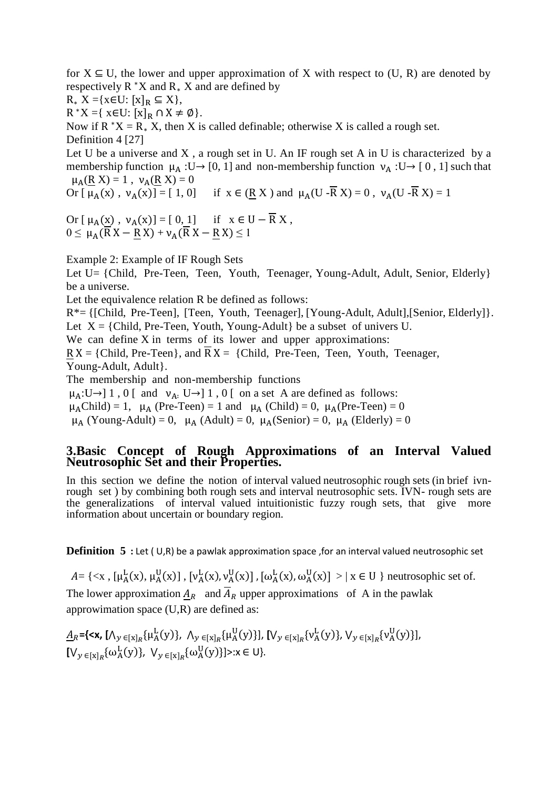for  $X \subseteq U$ , the lower and upper approximation of X with respect to  $(U, R)$  are denoted by respectively  $R^*X$  and  $R_*X$  and are defined by

 $R_* X = \{x \in U: [x]_R \subseteq X\},\$ 

 $R^*X = \{ x \in U: [x]_R \cap X \neq \emptyset \}.$ 

Now if  $R^*X = R_* X$ , then X is called definable; otherwise X is called a rough set. Definition 4 [27]

Let U be a universe and X, a rough set in U. An IF rough set A in U is characterized by a membership function  $\mu_A : U \rightarrow [0, 1]$  and non-membership function  $\nu_A : U \rightarrow [0, 1]$  such that  $\mu_A(R X) = 1$ ,  $\nu_A(R X) = 0$ 

Or  $\left[\mu_A(x), \nu_A(x)\right] = \left[\begin{array}{cc} 1, 0 \end{array}\right]$  if  $x \in (R X)$  and  $\mu_A(U - \overline{R} X) = 0$ ,  $\nu_A(U - \overline{R} X) = 1$ 

Or [ $\mu_A(\underline{x})$ ,  $\nu_A(x)$ ] = [ $0, 1$ ] if  $x \in U - \overline{R} X$ ,  $0 \leq \mu_A (\overline{R} X - R X) + \nu_A (\overline{R} X - R X) \leq 1$ 

Example 2: Example of IF Rough Sets

Let U= {Child, Pre-Teen, Teen, Youth, Teenager, Young-Adult, Adult, Senior, Elderly} be a universe.

Let the equivalence relation R be defined as follows:

R\*= {[Child, Pre-Teen], [Teen, Youth, Teenager], [Young-Adult, Adult],[Senior, Elderly]}. Let  $X = \{Child, Pre-Teen, Youth, Young-Adult\}$  be a subset of univers U.

We can define X in terms of its lower and upper approximations:

 $RX = \{Child, Pre-Teen\}$ , and  $\overline{R}X = \{Child, Pre-Teen, Teen, Youth, Teenager,$ 

Young-Adult, Adult}.

The membership and non-membership functions

 $\mu_A: U \rightarrow ] 1, 0 [$  and  $\nu_A: U \rightarrow ] 1, 0 [$  on a set A are defined as follows:

 $\mu_A$ Child) = 1,  $\mu_A$  (Pre-Teen) = 1 and  $\mu_A$  (Child) = 0,  $\mu_A$ (Pre-Teen) = 0

 $\mu_A$  (Young-Adult) = 0,  $\mu_A$  (Adult) = 0,  $\mu_A$ (Senior) = 0,  $\mu_A$  (Elderly) = 0

### **3.Basic Concept of Rough Approximations of an Interval Valued Neutrosophic Set and their Properties.**

In this section we define the notion of interval valued neutrosophic rough sets (in brief ivnrough set ) by combining both rough sets and interval neutrosophic sets. IVN- rough sets are the generalizations of interval valued intuitionistic fuzzy rough sets, that give more information about uncertain or boundary region.

**Definition 5** : Let (U,R) be a pawlak approximation space , for an interval valued neutrosophic set

 $A = \{ \langle x, [\mu_A^L(x), \mu_A^U(x)] , [\nu_A^L(x), \nu_A^U(x)] , [\omega_A^L(x), \omega_A^U(x)] \rangle \mid x \in U \}$  neutrosophic set of. The lower approximation  $A_R$  and  $\overline{A}_R$  upper approximations of A in the pawlak approwimation space (U,R) are defined as:

 $\underline{A}_R$ **={<x,** [ $\bigwedge_{y \in [x]_R} {\{\mu^L_A(y)\}}$ ,  $\bigwedge_{y \in [x]_R} {\{\mu^U_A(y)\}}$ ], [ $\bigvee_{y \in [x]_R} {\{\nu^L_A(y)\}}$ ,  $\bigvee_{y \in [x]_R} {\{\nu^U_A(y)\}}$ ],  $[\mathsf{V}_y \in [\mathsf{x}]_R \{\omega_A^{\mathbf{L}}(\mathsf{y})\}, \ \mathsf{V}_y \in [\mathsf{x}]_R \{\omega_A^{\mathbf{U}}(\mathsf{y})\} \geq x \in \mathsf{U} \}.$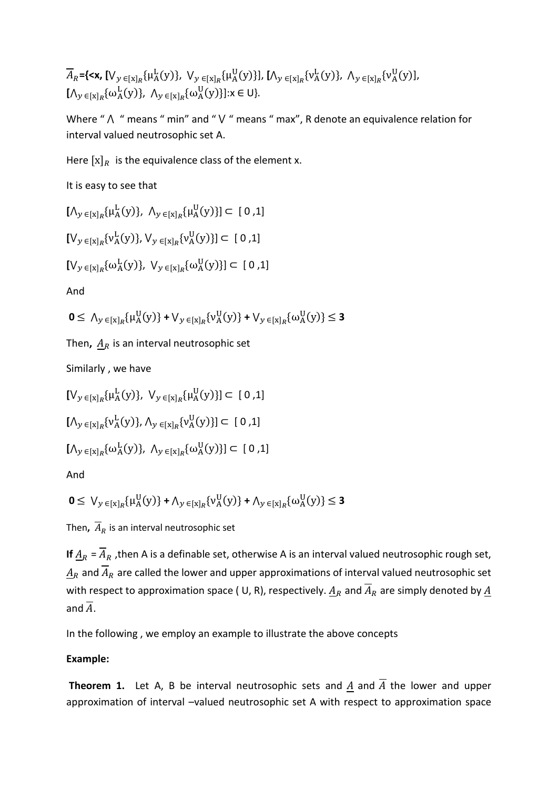$\overline{A}_R$ ={**<x,** [ $\bigvee_{y \in [x]_R} {\{\mu^L_A(y)\}}$ ,  $\bigvee_{y \in [x]_R} {\{\mu^U_A(y)\}}$ ], [ $\bigwedge_{y \in [x]_R} {\{\nu^L_A(y)\}}$ ,  $\bigwedge_{y \in [x]_R} {\{\nu^U_A(y)\}}$ ,  $[\Lambda_y \in [x]_R \{ \omega_A^L(y) \}, \Lambda_y \in [x]_R \{ \omega_A^U(y) \} ]$ : $x \in U$ .

Where " $\Lambda$  " means " min" and "  $\lor$  " means " max", R denote an equivalence relation for interval valued neutrosophic set A.

Here  $[x]_R$  is the equivalence class of the element x.

It is easy to see that

 $[\Lambda_y \in [x]_R \{\mu_A^L(y)\}, \Lambda_y \in [x]_R \{\mu_A^U(y)\}] \subset [0,1]$ 

 $[\mathsf{V}_y \in [\mathsf{x}]_R \{\mathsf{v}_A^{\text{L}}(\mathsf{y})\}, \mathsf{V}_y \in [\mathsf{x}]_R \{\mathsf{v}_A^{\text{U}}(\mathsf{y})\}] \subset [0,1]$ 

$$
[V_{y\,\in [x]_R}\{\omega^{\mathrm{L}}_{\mathrm{A}}(y)\},\ V_{y\,\in [x]_R}\{\omega^{\mathrm{U}}_{\mathrm{A}}(y)\}]\subset[0\,,1]
$$

And

$$
\mathbf{0} \le \Lambda_{y \in [x]_R} {\{\mu_A^U(y)\} + V_{y \in [x]_R} {\{\nu_A^U(y)\} + V_{y \in [x]_R} {\{\omega_A^U(y)\} \le \mathbf{3}}}
$$

Then,  $A_R$  is an interval neutrosophic set

Similarly , we have

 $[\mathsf{V}_{y \in [x]_R} \{\mu^{\mathsf{L}}_{\mathsf{A}}(y)\}, \mathsf{V}_{y \in [x]_R} \{\mu^{\mathsf{U}}_{\mathsf{A}}(y)\}] \subset [0,1]$  $[\Lambda_y \in [x]_R \{v_A^L(y)\}, \Lambda_y \in [x]_R \{v_A^U(y)\}] \subset [0,1]$ 

$$
[\Lambda_y \in_{[x]_R} \{\omega_A^{\mathrm{L}}(y)\}, \ \Lambda_y \in_{[x]_R} \{\omega_A^{\mathrm{U}}(y)\}] \subset [0,1]
$$

And

$$
\mathbf{0} \leq \bigvee_{y \in [x]_R} {\{\mu_A^U(y)\} + \Lambda_{y \in [x]_R} {\{\nu_A^U(y)\} + \Lambda_{y \in [x]_R} {\{\omega_A^U(y)\} \leq \mathbf{3}}}
$$

Then,  $\overline{A}_R$  is an interval neutrosophic set

**If**  $\underline{A}_R = \overline{A}_R$ , then A is a definable set, otherwise A is an interval valued neutrosophic rough set,  $\underline{A}_R$  and  $\overline{A}_R$  are called the lower and upper approximations of interval valued neutrosophic set with respect to approximation space ( U, R), respectively.  $A_R$  and  $\overline{A}_R$  are simply denoted by  $\underline{A}$ and  $\overline{A}$ .

In the following , we employ an example to illustrate the above concepts

#### **Example:**

**Theorem 1.** Let A, B be interval neutrosophic sets and A and  $\overline{A}$  the lower and upper approximation of interval –valued neutrosophic set A with respect to approximation space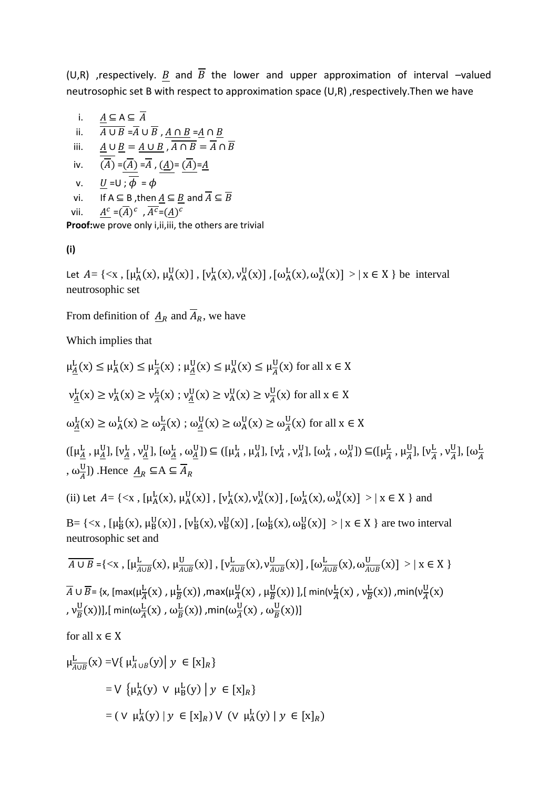(U,R) ,respectively.  $\underline{B}$  and  $\overline{B}$  the lower and upper approximation of interval –valued neutrosophic set B with respect to approximation space (U,R) ,respectively.Then we have

i. 
$$
\frac{A \subseteq A \subseteq \overline{A}}{A \cup B = \overline{A} \cup \overline{B}, \underline{A \cap B} = \underline{A} \cap \underline{B}}
$$
  
\nii.  $\frac{A \cup B}{(\overline{A})} = \frac{A \cup B}{\overline{A}}, \overline{A \cap B} = \overline{A} \cap \overline{B}$   
\niv.  $\frac{U}{(\overline{A})} = \frac{\overline{A}}{\overline{A}} = \overline{A}, \underline{(A)} = \frac{\overline{A}}{\overline{A}} = \underline{A}$   
\nv.  $\underline{U} = 0; \overline{\phi} = \phi$   
\nvi. If  $A \subseteq B$ , then  $\underline{A} \subseteq \underline{B}$  and  $\overline{A} \subseteq \overline{B}$   
\nvii.  $\frac{A^c}{A^c} = (\overline{A})^c, \overline{A^c} = (\underline{A})^c$ 

**Proof:**we prove only i,ii,iii, the others are trivial

**(i)**

Let  $A = \{ \langle x, [\mu_A^L(x), \mu_A^U(x)], [\nu_A^L(x), \nu_A^U(x)], [\omega_A^L(x), \omega_A^U(x)] \rangle | x \in X \}$  be interval neutrosophic set

From definition of  $\underline{A}_R$  and  $\overline{A}_R$ , we have

Which implies that

$$
\mu_{\underline{A}}^{L}(x) \leq \mu_{A}^{L}(x) \leq \mu_{\underline{A}}^{L}(x) ; \mu_{\underline{A}}^{U}(x) \leq \mu_{\underline{A}}^{U}(x) \leq \mu_{\underline{A}}^{U}(x) \text{ for all } x \in X
$$
\n
$$
v_{\underline{A}}^{L}(x) \geq v_{A}^{L}(x) \geq v_{A}^{L}(x) ; v_{\underline{A}}^{U}(x) \geq v_{A}^{U}(x) \geq v_{\underline{A}}^{U}(x) \text{ for all } x \in X
$$
\n
$$
\omega_{\underline{A}}^{L}(x) \geq \omega_{A}^{L}(x) \geq \omega_{A}^{L}(x) ; \omega_{\underline{A}}^{U}(x) \geq \omega_{A}^{U}(x) \geq \omega_{A}^{U}(x) \text{ for all } x \in X
$$
\n
$$
([\mu_{\underline{A}}^{L}, \mu_{\underline{A}}^{U}], [\nu_{\underline{A}}^{L}, \nu_{\underline{A}}^{U}], [\omega_{\underline{A}}^{L}, \omega_{\underline{A}}^{U}]) \subseteq ([\mu_{A}^{L}, \mu_{A}^{U}], [\nu_{A}^{L}, \nu_{A}^{U}], [\omega_{A}^{L}, \omega_{A}^{U}], [\omega_{A}^{L}, \nu_{A}^{U}], [\nu_{\underline{A}}^{L}, \nu_{\underline{A}}^{U}], [\omega_{\underline{A}}^{L}, \nu_{\underline{A}}^{U}], [\omega_{\underline{A}}^{L}, \nu_{\underline{A}}^{U}], [\omega_{\underline{A}}^{L}, \nu_{\underline{A}}^{U}], [\omega_{\underline{A}}^{L}(x), \nu_{\underline{A}}^{U}(x)], [\nu_{A}^{L}(x), \nu_{A}^{U}(x)] , [\omega_{A}^{L}(x), \omega_{A}^{U}(x)] > | x \in X \} \text{ and}
$$
\n
$$
B = \{ < x , [\mu_{B}^{L}(x), \mu_{B}^{U}(x)] , [\nu_{B}^{L}(x), \nu_{B}^{U}(x)] , [\omega_{B}^{L}(x), \omega_{B}^{U}(x)] > | x \in X \} \text{ are two interval}
$$
\nneutrosophic set and\n
$$
\overline{A \cup B} = \{ < x , [\mu_{A \cup B}^{L}(x), \mu_{A \cup B}^{L}(x
$$

U

$$
\mu_{A \cup B}^{\mathcal{L}}(x) = \bigvee \{ \mu_{A \cup B}^{\mathcal{L}}(y) \mid y \in [x]_{R} \}
$$
  
=  $\bigvee \{ \mu_{A}^{\mathcal{L}}(y) \vee \mu_{B}^{\mathcal{L}}(y) \mid y \in [x]_{R} \}$   
=  $( \vee \mu_{A}^{\mathcal{L}}(y) \mid y \in [x]_{R}) \vee (\vee \mu_{A}^{\mathcal{L}}(y) \mid y \in [x]_{R})$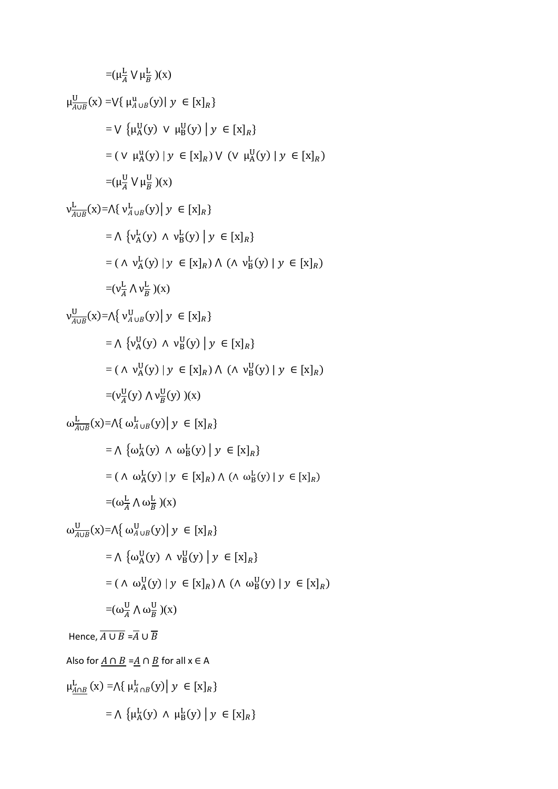$$
= (\mu_A^L \vee \mu_B^L)(x)
$$
  
\n
$$
\mu_{A\cup B}^U(x) = \nabla{\{\mu_A^U(g) \mid y \in [x]_R\}}
$$
  
\n
$$
= \nabla{\{\mu_A^U(y) \mid y \in [x]_R\}}
$$
  
\n
$$
= (\nabla \mu_A^U(y) \mid y \in [x]_R) \vee (\nabla \mu_A^U(y) \mid y \in [x]_R)
$$
  
\n
$$
= (\mu_A^U \vee \mu_B^U)(x)
$$
  
\n
$$
\nu_{A\cup B}^L(x) = \wedge{\{\nu_A^L(y) \mid y \in [x]_R\}}
$$
  
\n
$$
= \wedge{\{\nu_A^L(y) \mid y \in [x]_R\}}
$$
  
\n
$$
= (\wedge \nu_A^L(y) \vee \nu_B^L(y) \mid y \in [x]_R\}
$$
  
\n
$$
= (\wedge \nu_A^L(y) \vee \nu_B^L(y) \mid y \in [x]_R)
$$
  
\n
$$
= (\wedge \nu_A^L(y) \vee \nu_B^L(y) \mid y \in [x]_R)
$$
  
\n
$$
= (\wedge \nu_A^U(y) \vee \nu_B^U(y) \mid y \in [x]_R)
$$
  
\n
$$
= (\wedge \nu_A^U(y) \vee \nu_B^U(y) \mid y \in [x]_R)
$$
  
\n
$$
= (\wedge \nu_A^U(y) \vee \nu_B^U(y) \mid y \in [x]_R)
$$
  
\n
$$
= (\wedge \nu_A^U(y) \vee \nu_B^U(y) \mid y \in [x]_R)
$$
  
\n
$$
= (\wedge \omega_A^L(y) \wedge \omega_B^L(y) \mid y \in [x]_R)
$$
  
\n
$$
= \wedge{\{\omega_A^L(y) \wedge \omega_B^L(y) \mid y \in [x]_R\}}
$$
  
\n
$$
= (\wedge \omega_A^L(y) \vee \omega_B^L(y) \mid y \in [x]_R)
$$
  
\n
$$
= (\wedge \omega_A^L(y) \vee \omega_B^L(y) \mid y \in [x]_R)
$$
  
\n
$$
= (\wedge
$$

$$
= \bigwedge \left\{ \mu_A^L(y) \wedge \mu_B^L(y) \mid y \in [x]_R \right\}
$$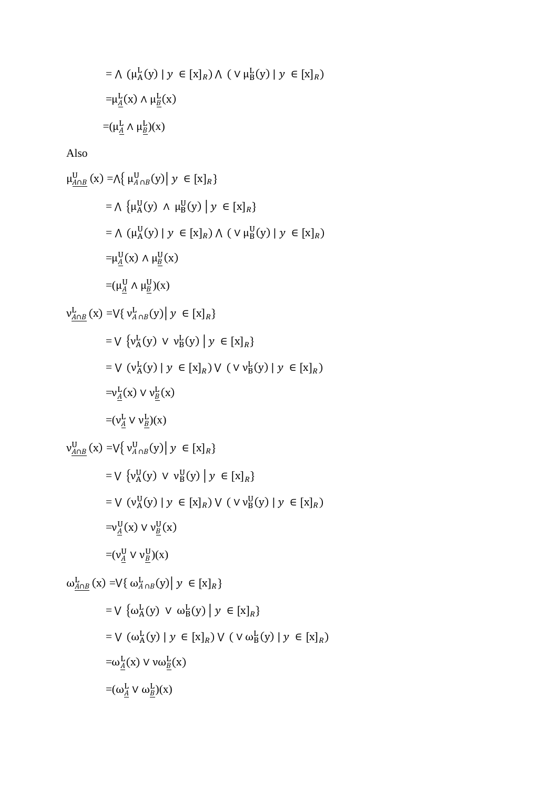$$
= \Lambda (\mu_{A}^{L}(y) | y \in [x]_{R}) \Lambda (v \mu_{B}^{L}(y) | y \in [x]_{R})
$$
  

$$
= \mu_{\underline{A}}^{L}(x) \Lambda \mu_{\underline{B}}^{L}(x)
$$
  

$$
= (\mu_{\underline{A}}^{L} \Lambda \mu_{\underline{B}}^{L})(x)
$$

Also

$$
\mu_{\underline{A}\cap\underline{B}}^{U}(x) = \Lambda \{ \mu_{A\cap B}^{U}(y) | y \in [x]_{R} \}
$$
\n
$$
= \Lambda \{ \mu_{A}^{U}(y) \land \mu_{B}^{U}(y) | y \in [x]_{R} \}
$$
\n
$$
= \Lambda (\mu_{A}^{U}(y) | y \in [x]_{R}) \Lambda (V \mu_{B}^{U}(y) | y \in [x]_{R})
$$
\n
$$
= \mu_{\underline{A}}^{U}(x) \Lambda \mu_{\underline{B}}^{U}(x)
$$
\n
$$
= (\mu_{\underline{A}}^{U} \Lambda \mu_{\underline{B}}^{U})(x)
$$
\n
$$
= V \{ \nu_{A}^{L}(y) \lor \nu_{B}^{L}(y) | y \in [x]_{R} \}
$$
\n
$$
= V \{ \nu_{A}^{L}(y) \lor \nu_{B}^{L}(y) | y \in [x]_{R} \}
$$
\n
$$
= V (\nu_{A}^{L}(y) | y \in [x]_{R}) \lor (V \nu_{B}^{L}(y) | y \in [x]_{R})
$$
\n
$$
= \nu_{\underline{A}}^{L}(x) \lor \nu_{\underline{B}}^{L}(x)
$$
\n
$$
= (\nu_{\underline{A}}^{L}(y) \lor \nu_{B}^{L}(y) | y \in [x]_{R} \}
$$
\n
$$
= V \{ \nu_{A}^{U}(y) \lor \nu_{B}^{U}(y) | y \in [x]_{R} \}
$$
\n
$$
= V (\nu_{A}^{U}(y) | y \in [x]_{R}) \lor (V \nu_{B}^{U}(y) | y \in [x]_{R})
$$
\n
$$
= \nu_{\underline{A}}^{U}(x) \lor \nu_{\underline{B}}^{U}(x)
$$
\n
$$
= (\nu_{\underline{A}}^{U} \lor \nu_{\underline{B}}^{U})(x)
$$
\n
$$
= (\nu_{\underline{A}}^{U} \lor \nu_{\underline{B}}^{U})(x)
$$
\n
$$
= \nu_{\underline{A}}^{L}(x) \lor \nu_{\underline{B}}^{L}(y) | y \in [x]_{R}
$$
\n
$$
= V (\omega_{A}^{L}(y) | y \in [x]_{R})
$$
\n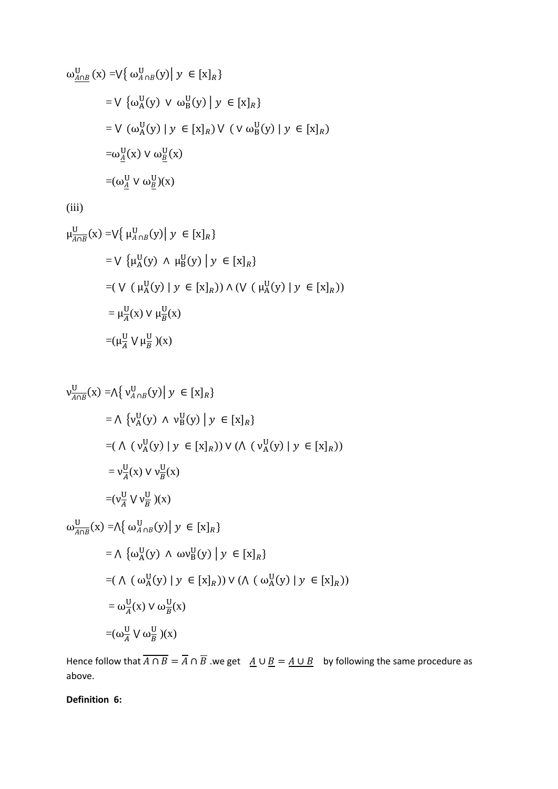$$
\omega_{\underline{A}\cap\underline{B}}^{U}(x) = \nabla \{ \omega_{A\cap B}^{U}(y) | y \in [x]_{R} \}
$$
\n
$$
= \nabla \{ \omega_{A}^{U}(y) \vee \omega_{B}^{U}(y) | y \in [x]_{R} \}
$$
\n
$$
= \nabla (\omega_{A}^{U}(y) | y \in [x]_{R}) \vee (\nabla \omega_{B}^{U}(y) | y \in [x]_{R})
$$
\n
$$
= \omega_{\underline{A}}^{U}(x) \vee \omega_{\underline{B}}^{U}(x)
$$
\n
$$
= (\omega_{\underline{A}}^{U} \vee \omega_{\underline{B}}^{U})(x)
$$

(iii)

$$
\mu_{\overline{A \cap B}}^{U}(x) = \nabla \{ \mu_{A \cap B}^{U}(y) | y \in [x]_{R} \}
$$
\n
$$
= \nabla \{ \mu_{A}^{U}(y) \land \mu_{B}^{U}(y) | y \in [x]_{R} \}
$$
\n
$$
= (\nabla (\mu_{A}^{U}(y) | y \in [x]_{R})) \land (\nabla (\mu_{A}^{U}(y) | y \in [x]_{R}))
$$
\n
$$
= \mu_{\overline{A}}^{U}(x) \lor \mu_{\overline{B}}^{U}(x)
$$
\n
$$
= (\mu_{\overline{A}}^{U} \lor \mu_{\overline{B}}^{U})(x)
$$

$$
\begin{aligned}\n\mathsf{v}_{A \cap B}^{\mathsf{U}}(\mathbf{x}) &= \mathsf{\Lambda} \left\{ \mathsf{v}_{A \cap B}^{\mathsf{U}}(\mathbf{y}) \mid \mathsf{y} \in [\mathbf{x}]_{R} \right\} \\
&= \mathsf{\Lambda} \left\{ \mathsf{v}_{A}^{\mathsf{U}}(\mathbf{y}) \land \mathsf{v}_{B}^{\mathsf{U}}(\mathbf{y}) \mid \mathsf{y} \in [\mathbf{x}]_{R} \right\} \\
&= (\mathsf{\Lambda} \left( \mathsf{v}_{A}^{\mathsf{U}}(\mathsf{y}) \mid \mathsf{y} \in [\mathbf{x}]_{R} \right)) \lor (\mathsf{\Lambda} \left( \mathsf{v}_{A}^{\mathsf{U}}(\mathsf{y}) \mid \mathsf{y} \in [\mathbf{x}]_{R} \right)) \\
&= \mathsf{v}_{A}^{\mathsf{U}}(\mathsf{x}) \lor \mathsf{v}_{B}^{\mathsf{U}}(\mathsf{x}) \\
&= (\mathsf{v}_{A}^{\mathsf{U}} \lor \mathsf{v}_{B}^{\mathsf{U}})(\mathsf{x}) \\
\mathsf{w}_{A \cap B}^{\mathsf{U}}(\mathsf{x}) &= \mathsf{\Lambda} \left\{ \omega_{A \cap B}^{\mathsf{U}}(\mathsf{y}) \mid \mathsf{y} \in [\mathsf{x}]_{R} \right\} \\
&= \mathsf{\Lambda} \left\{ \omega_{A}^{\mathsf{U}}(\mathsf{y}) \land \omega \mathsf{v}_{B}^{\mathsf{U}}(\mathsf{y}) \mid \mathsf{y} \in [\mathsf{x}]_{R} \right\} \\
&= (\mathsf{\Lambda} \left( \omega_{A}^{\mathsf{U}}(\mathsf{y}) \mid \mathsf{y} \in [\mathsf{x}]_{R} \right)) \lor (\mathsf{\Lambda} \left( \omega_{A}^{\mathsf{U}}(\mathsf{y}) \mid \mathsf{y} \in [\mathsf{x}]_{R} \right)) \\
&= \omega_{A}^{\mathsf{U}}(\mathsf{x}) \lor \omega_{B}^{\mathsf{U}}(\mathsf{x}) \\
&= (\omega_{A}^{\mathsf{U}} \lor \omega_{B}^{\mathsf{U}})(\mathsf{x})\n\end{aligned}
$$

Hence follow that  $\overline{A \cap B} = \overline{A} \cap \overline{B}$  we get  $\underline{A} \cup \underline{B} = \underline{A \cup B}$  by following the same procedure as above.

**Definition 6:**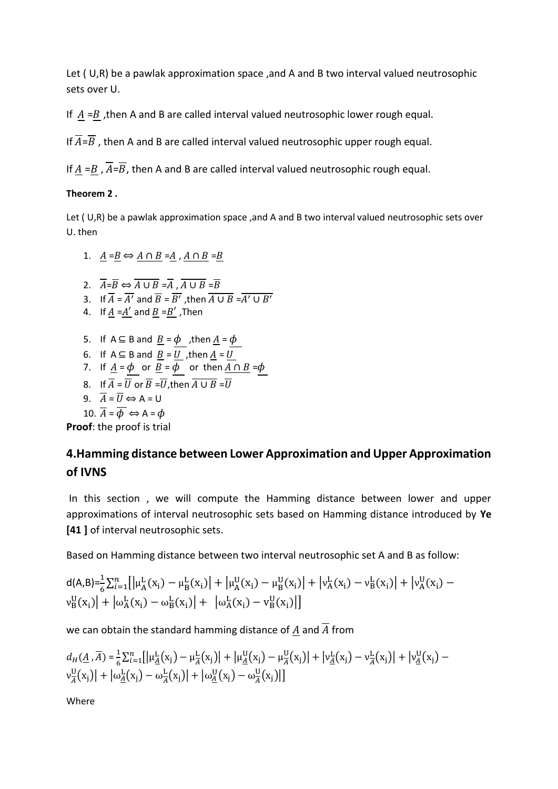Let ( U,R) be a pawlak approximation space ,and A and B two interval valued neutrosophic sets over U.

If  $\underline{A} = \underline{B}$ , then A and B are called interval valued neutrosophic lower rough equal.

If  $\overline{A} = \overline{B}$ , then A and B are called interval valued neutrosophic upper rough equal.

If  $A = B$ ,  $\overline{A} = \overline{B}$ , then A and B are called interval valued neutrosophic rough equal.

## **Theorem 2 .**

Let (U,R) be a pawlak approximation space , and A and B two interval valued neutrosophic sets over U. then

1. 
$$
\underline{A} = \underline{B} \Leftrightarrow \underline{A \cap B} = \underline{A}, \underline{A \cap B} = \underline{B}
$$

- 2.  $\overline{A} = \overline{B} \Leftrightarrow \overline{A \cup B} = \overline{A}, \overline{A \cup B} = \overline{B}$
- 3. If  $\overline{A} = \overline{A'}$  and  $\overline{B} = \overline{B'}$ , then  $\overline{A \cup B} = \overline{A'} \cup \overline{B'}$
- 4. If  $\underline{A} = \underline{A'}$  and  $\underline{B} = \underline{B'}$ , Then
- 5. If A ⊆ B and  $B = \phi$ , then  $A = \phi$
- 6. If  $A \subseteq B$  and  $B = U$ , then  $A = U$
- 7. If  $\underline{A} = \phi$  or  $\underline{B} = \overline{\phi}$  or then  $\underline{A \cap B} = \phi$
- 8. If  $\overline{A} = \overline{U}$  or  $\overline{B} = \overline{U}$ , then  $\overline{A \cup B} = \overline{U}$
- $\overline{A} = \overline{U} \Leftrightarrow A = U$

10. 
$$
\overline{A} = \overline{\phi} \Leftrightarrow A = \phi
$$

**Proof**: the proof is trial

# **4.Hamming distance between Lower Approximation and Upper Approximation of IVNS**

In this section , we will compute the Hamming distance between lower and upper approximations of interval neutrosophic sets based on Hamming distance introduced by **Ye [41 ]** of interval neutrosophic sets.

Based on Hamming distance between two interval neutrosophic set A and B as follow:

$$
\begin{array}{l} d(A,B) = \frac{1}{6} \sum_{i=1}^{n} \left[ \left| \mu_A^L(x_i) - \mu_B^L(x_i) \right| + \left| \mu_A^U(x_i) - \mu_B^U(x_i) \right| + \left| \nu_A^L(x_i) - \nu_B^L(x_i) \right| + \left| \nu_A^U(x_i) - \nu_B^U(x_i) \right| \right] \\ \nu_B^U(x_i) \left| \right. + \left| \omega_A^L(x_i) - \omega_B^L(x_i) \right| + \left. \left| \omega_A^L(x_i) - \nu_B^U(x_i) \right| \right] \end{array}
$$

we can obtain the standard hamming distance of  $A$  and  $\overline{A}$  from

$$
d_H(\underline{A}, \overline{A}) = \frac{1}{6} \sum_{i=1}^n \left[ \left| \mu_{\underline{A}}^L(x_j) - \mu_{\overline{A}}^L(x_j) \right| + \left| \mu_{\underline{A}}^U(x_j) - \mu_{\overline{A}}^U(x_j) \right| + \left| \nu_{\underline{A}}^L(x_j) - \nu_{\overline{A}}^L(x_j) \right| + \left| \nu_{\underline{A}}^U(x_j) - \nu_{\overline{A}}^U(x_j) \right| + \left| \omega_{\underline{A}}^L(x_j) - \omega_{\overline{A}}^L(x_j) \right| + \left| \omega_{\underline{A}}^U(x_j) - \omega_{\overline{A}}^U(x_j) \right| \right]
$$

Where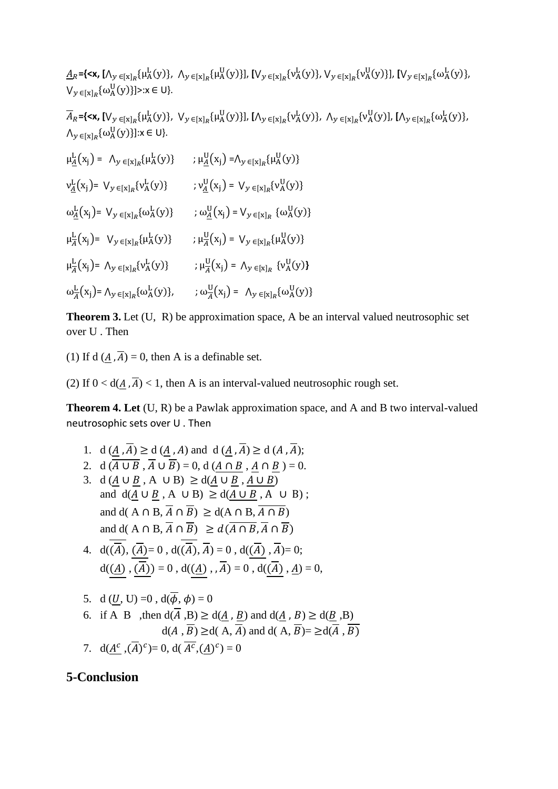$\underline{A}_R = \{\langle x, [\Lambda_y]_{R} \{ \mu_A^L(y) \}, \Lambda_y \in [\chi]_{R} \{ \mu_A^U(y) \}], [\mathsf{V}_y]_{R} \{ \nu_A^L(y) \}, \mathsf{V}_y]_{R} \{ \nu_A^U(y) \}], [\mathsf{V}_y]_{R} \{ \mu_A^L(y) \},$  $V_{y \in [x]_R} \{\omega_A^U(y)\} \ge x \in U$ 

 $\overline{A}_R = \{\langle x, [V_y]_{R} \{u_A^L(y)\}, V_y \in [x]_R \{u_A^U(y)\}], [(\Lambda_y]_{R} \{v_A^L(y)\}, \Lambda_y \in [x]_R \{v_A^U(y)\}, [(\Lambda_y]_{R} \{u_A^L(y)\}, \Lambda_y \in [x]_R \{v_A^L(y)\},$  $\bigwedge_{y \in [x]_R} {\{\omega_A^{\text{U}}(y)\}}: x \in U$ 

 $\mu_{\underline{A}}^{\underline{L}}(x_j) = \Lambda_{y \in [x]_R} {\mu_A^{\underline{L}}(y)} \qquad ; \mu_{\underline{A}}^{\underline{U}}(x_j) = \Lambda_{y \in [x]_R} {\mu_A^{\underline{U}}(y)}$  $v_{\underline{A}}^{\underline{L}}(x_j) = V_y \in [x]_R \{v_A^{\underline{L}}(y)\}$  ;  $v_{\underline{A}}^{\underline{U}}(x_j) = V_y \in [x]_R \{v_A^{\underline{U}}(y)\}$  $\omega_{\underline{A}}^{\underline{L}}(x_j) = V_y \in [x]_R \{ \omega_A^{\underline{L}}(y) \}$  ;  $\omega_{\underline{A}}^{\underline{U}}(x_j) = V_y \in [x]_R \{ \omega_A^{\underline{U}}(y) \}$  $\mu_{\overline{A}}^{\underline{L}}(x_j) = V_y \in [x]_R {\mu_A^{\underline{L}}(y)} \qquad ; \mu_{\overline{A}}^{\underline{U}}(x_j) = V_y \in [x]_R {\mu_A^{\underline{U}}(y)}$  $\mu_{\overline{A}}^{\mathbf{L}}(x_j) = \Lambda_y \in [x]_R \{v_A^{\mathbf{L}}(y)\}$  ;  $\mu_{\overline{A}}^{\mathbf{U}}(x_j) = \Lambda_y \in [x]_R \{v_A^{\mathbf{U}}(y)\}$  $\omega_{\overline{A}}^{\mathbf{L}}(\mathbf{x_j}) = \Lambda_{\mathbf{y} \in [\mathbf{x}]_R} \{\omega_{\mathbf{A}}^{\mathbf{L}}(\mathbf{y})\}, \qquad ; \omega_{\overline{A}}^{\mathbf{U}}(\mathbf{x_j}) = \Lambda_{\mathbf{y} \in [\mathbf{x}]_R} \{\omega_{\mathbf{A}}^{\mathbf{U}}(\mathbf{y})\}$ 

**Theorem 3.** Let (U, R) be approximation space, A be an interval valued neutrosophic set over U . Then

(1) If d  $(A, \overline{A}) = 0$ , then A is a definable set.

(2) If  $0 < d(A, \overline{A}) < 1$ , then A is an interval-valued neutrosophic rough set.

**Theorem 4. Let** (U, R) be a Pawlak approximation space, and A and B two interval-valued neutrosophic sets over U . Then

- 1. d  $(\overline{A}, \overline{A}) \ge d$   $(\overline{A}, A)$  and d  $(\overline{A}, \overline{A}) \ge d$   $(\overline{A}, \overline{A})$ ;
- 2. d  $(\overline{A \cup B}, \overline{A} \cup \overline{B}) = 0$ , d  $(A \cap B, A \cap B) = 0$ .
- 3. d  $(A \cup B, A \cup B) \ge d(A \cup B, A \cup B)$ and  $d(\underline{A} \cup \underline{B}, A \cup B) \geq d(\underline{A} \cup \underline{B}, A \cup B)$ ; and d( A  $\cap$  B,  $\overline{A}$   $\cap$   $\overline{B}$ )  $\geq$  d(A  $\cap$  B,  $\overline{A}$   $\cap$  B) and d( A  $\cap$  B,  $\overline{A}$   $\cap$   $\overline{B}$ )  $\geq d$  ( $\overline{A}$   $\cap$   $\overline{B}$ ,  $\overline{A}$   $\cap$   $\overline{B}$ )
- 4.  $d(\overline{\overline{A}}), (\overline{A}) = 0$ ,  $d(\overline{\overline{A}}, \overline{A}) = 0$ ,  $d(\overline{A}), \overline{A}) = 0$ ;  $d(\underline{A}), \overline{(\overline{A})}) = 0$ ,  $d(\underline{A}), \overline{A}) = 0$ ,  $d(\overline{A}), \underline{A}) = 0$ ,
- 5. d  $(\underline{U}, U) = 0$ ,  $d(\overline{\phi}, \phi) = 0$
- 6. if A B ,then  $d(\overline{A}, B) \ge d(\underline{A}, \underline{B})$  and  $d(\underline{A}, B) \ge d(\underline{B}, B)$  $d(A, \overline{B}) \ge d(A, \overline{A})$  and  $d(A, \overline{B}) = \ge d(\overline{A}, \overline{B})$
- 7.  $d(A^c, (\overline{A})^c) = 0$ ,  $d(\overline{A^c}, (A)^c) = 0$

## **5-Conclusion**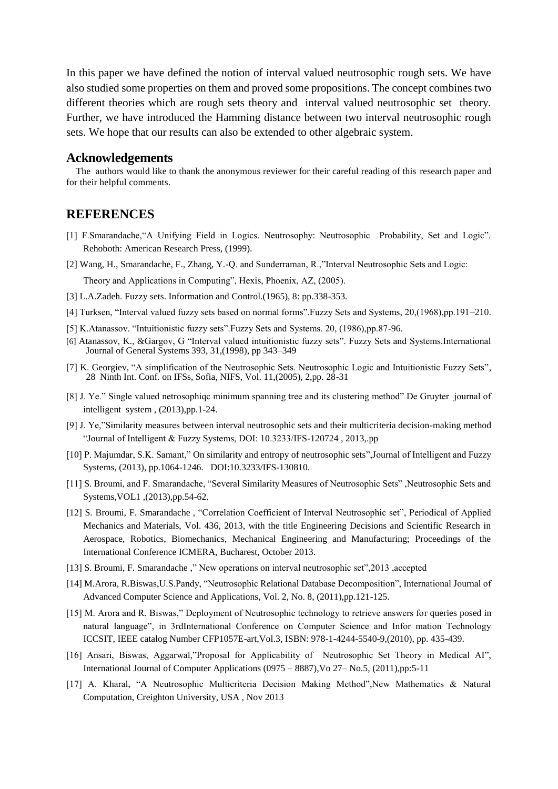In this paper we have defined the notion of interval valued neutrosophic rough sets. We have also studied some properties on them and proved some propositions. The concept combines two different theories which are rough sets theory and interval valued neutrosophic set theory. Further, we have introduced the Hamming distance between two interval neutrosophic rough sets. We hope that our results can also be extended to other algebraic system.

#### **Acknowledgements**

The authors would like to thank the anonymous reviewer for their careful reading of this research paper and for their helpful comments.

### **REFERENCES**

- [1] F.Smarandache,"A Unifying Field in Logics. Neutrosophy: Neutrosophic Probability, Set and Logic". Rehoboth: American Research Press, (1999).
- [2] Wang, H., Smarandache, F., Zhang, Y.-Q. and Sunderraman, R.,"Interval Neutrosophic Sets and Logic:

Theory and Applications in Computing", Hexis, Phoenix, AZ, (2005).

- [3] L.A.Zadeh. Fuzzy sets. Information and Control.(1965), 8: pp.338-353.
- [4] Turksen, "Interval valued fuzzy sets based on normal forms".Fuzzy Sets and Systems, 20,(1968),pp.191–210.
- [5] K.Atanassov. "Intuitionistic fuzzy sets".Fuzzy Sets and Systems. 20, (1986),pp.87-96.
- [6] Atanassov, K., &Gargov, G "Interval valued intuitionistic fuzzy sets". Fuzzy Sets and Systems.International Journal of General Systems 393, 31,(1998), pp 343–349
- [7] K. Georgiev, "A simplification of the Neutrosophic Sets. Neutrosophic Logic and Intuitionistic Fuzzy Sets", 28 Ninth Int. Conf. on IFSs, Sofia, NIFS, Vol. 11,(2005), 2,pp. 28-31
- [8] J. Ye." Single valued netrosophiqc minimum spanning tree and its clustering method" De Gruyter journal of intelligent system , (2013),pp.1-24.
- [9] J. Ye,"Similarity measures between interval neutrosophic sets and their multicriteria decision-making method "Journal of Intelligent & Fuzzy Systems, DOI: 10.3233/IFS-120724 , 2013,.pp
- [10] P. Majumdar, S.K. Samant," [On similarity and entropy of neutrosophic sets"](http://iospress.metapress.com/content/8342372573j42764/),Journal of Intelligent and Fuzzy Systems, (2013), pp.1064-1246. DOI:10.3233/IFS-130810.
- [11] S. Broumi, and F. Smarandache, "Several Similarity Measures of Neutrosophic Sets" ,Neutrosophic Sets and Systems,VOL1 ,(2013),pp.54-62.
- [12] S. Broumi, F. Smarandache , "Correlation Coefficient of Interval Neutrosophic set", Periodical of Applied Mechanics and Materials, Vol. 436, 2013, with the title Engineering Decisions and Scientific Research in Aerospace, Robotics, Biomechanics, Mechanical Engineering and Manufacturing; Proceedings of the International Conference ICMERA, Bucharest, October 2013.
- [13] S. Broumi, F. Smarandache ," New operations on interval neutrosophic set",2013 ,accepted
- [14] M.Arora, R.Biswas,U.S.Pandy, "Neutrosophic Relational Database Decomposition", International Journal of Advanced Computer Science and Applications, Vol. 2, No. 8, (2011),pp.121-125.
- [15] M. Arora and R. Biswas," Deployment of Neutrosophic technology to retrieve answers for queries posed in natural language", in 3rdInternational Conference on Computer Science and Infor mation Technology ICCSIT, IEEE catalog Number CFP1057E-art,Vol.3, ISBN: 978-1-4244-5540-9,(2010), pp. 435-439.
- [16] Ansari, Biswas, Aggarwal,"Proposal for Applicability of Neutrosophic Set Theory in Medical AI", International Journal of Computer Applications (0975 – 8887),Vo 27– No.5, (2011),pp:5-11
- [17] A. Kharal, "A Neutrosophic Multicriteria Decision Making Method",New Mathematics & Natural Computation, Creighton University, USA , Nov 2013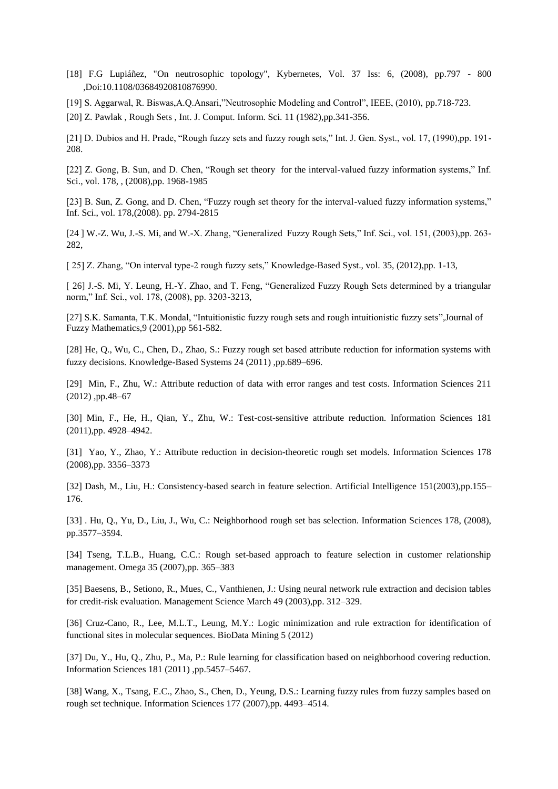- [18] F.G Lupiáñez, "On neutrosophic topology", Kybernetes, Vol. 37 Iss: 6, (2008), pp.797 800 ,Doi:10.1108/03684920810876990.
- [19] S. Aggarwal, R. Biswas,A.Q.Ansari,"Neutrosophic Modeling and Control", IEEE, (2010), pp.718-723.

[20] Z. Pawlak , Rough Sets , Int. J. Comput. Inform. Sci. 11 (1982),pp.341-356.

[21] D. Dubios and H. Prade, "Rough fuzzy sets and fuzzy rough sets," Int. J. Gen. Syst., vol. 17, (1990),pp. 191- 208.

[22] Z. Gong, B. Sun, and D. Chen, "Rough set theory for the interval-valued fuzzy information systems," Inf. Sci., vol. 178, , (2008),pp. 1968-1985

[23] B. Sun, Z. Gong, and D. Chen, "Fuzzy rough set theory for the interval-valued fuzzy information systems," Inf. Sci., vol. 178,(2008). pp. 2794-2815

[24 ] W.-Z. Wu, J.-S. Mi, and W.-X. Zhang, "Generalized Fuzzy Rough Sets," Inf. Sci., vol. 151, (2003),pp. 263- 282,

[ 25] Z. Zhang, "On interval type-2 rough fuzzy sets," Knowledge-Based Syst., vol. 35, (2012),pp. 1-13,

[ 26] J.-S. Mi, Y. Leung, H.-Y. Zhao, and T. Feng, "Generalized Fuzzy Rough Sets determined by a triangular norm," Inf. Sci., vol. 178, (2008), pp. 3203-3213,

[27] S.K. Samanta, T.K. Mondal, "Intuitionistic fuzzy rough sets and rough intuitionistic fuzzy sets", Journal of Fuzzy Mathematics,9 (2001),pp 561-582.

[28] He, Q., Wu, C., Chen, D., Zhao, S.: Fuzzy rough set based attribute reduction for information systems with fuzzy decisions. Knowledge-Based Systems 24 (2011) ,pp.689–696.

[29] Min, F., Zhu, W.: Attribute reduction of data with error ranges and test costs. Information Sciences 211 (2012) ,pp.48–67

[30] Min, F., He, H., Qian, Y., Zhu, W.: Test-cost-sensitive attribute reduction. Information Sciences 181 (2011),pp. 4928–4942.

[31] Yao, Y., Zhao, Y.: Attribute reduction in decision-theoretic rough set models. Information Sciences 178 (2008),pp. 3356–3373

[32] Dash, M., Liu, H.: Consistency-based search in feature selection. Artificial Intelligence 151(2003),pp.155– 176.

[33] . Hu, Q., Yu, D., Liu, J., Wu, C.: Neighborhood rough set bas selection. Information Sciences 178, (2008), pp.3577–3594.

[34] Tseng, T.L.B., Huang, C.C.: Rough set-based approach to feature selection in customer relationship management. Omega 35 (2007),pp. 365–383

[35] Baesens, B., Setiono, R., Mues, C., Vanthienen, J.: Using neural network rule extraction and decision tables for credit-risk evaluation. Management Science March 49 (2003),pp. 312–329.

[36] Cruz-Cano, R., Lee, M.L.T., Leung, M.Y.: Logic minimization and rule extraction for identification of functional sites in molecular sequences. BioData Mining 5 (2012)

[37] Du, Y., Hu, Q., Zhu, P., Ma, P.: Rule learning for classification based on neighborhood covering reduction. Information Sciences 181 (2011) ,pp.5457–5467.

[38] Wang, X., Tsang, E.C., Zhao, S., Chen, D., Yeung, D.S.: Learning fuzzy rules from fuzzy samples based on rough set technique. Information Sciences 177 (2007),pp. 4493–4514.